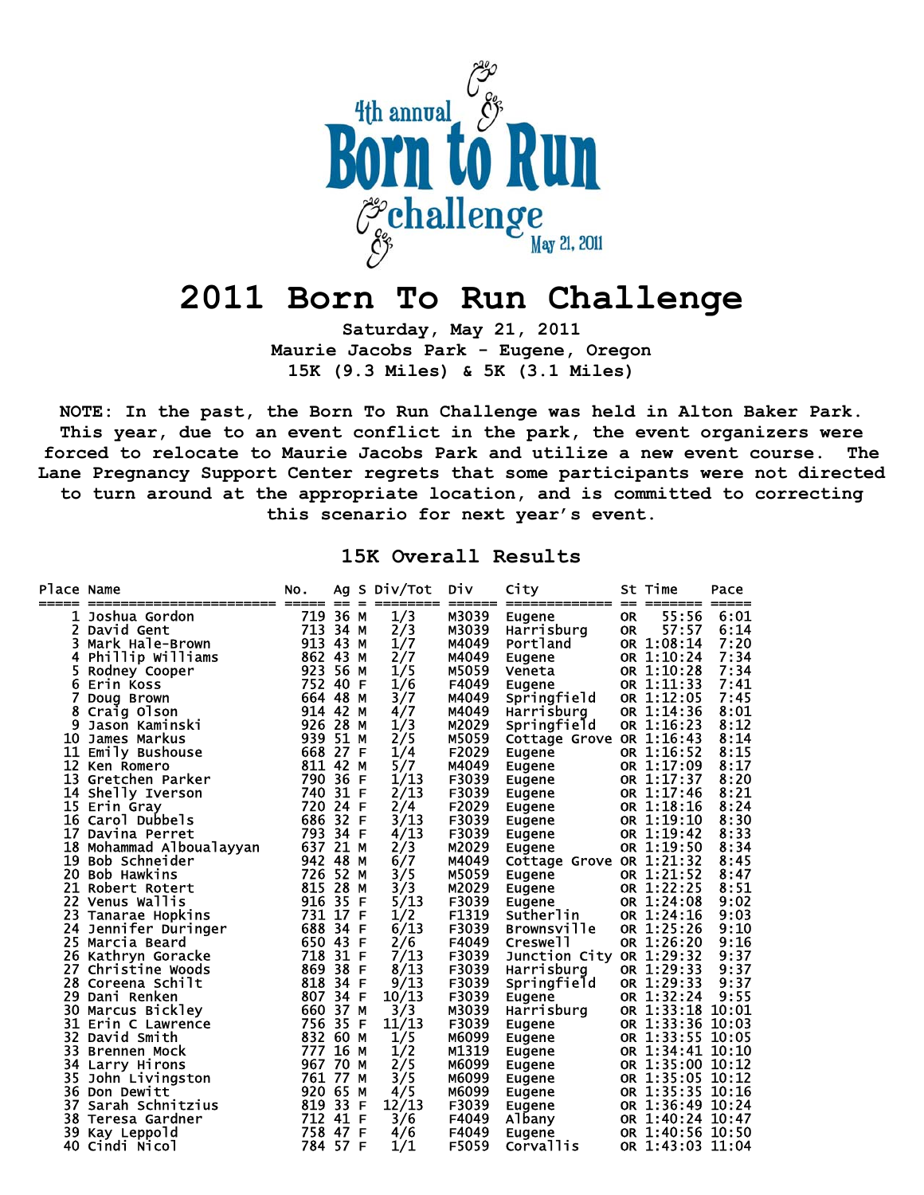

## **2011 Born To Run Challenge**

**Saturday, May 21, 2011 Maurie Jacobs Park - Eugene, Oregon 15K (9.3 Miles) & 5K (3.1 Miles)** 

**NOTE: In the past, the Born To Run Challenge was held in Alton Baker Park. This year, due to an event conflict in the park, the event organizers were forced to relocate to Maurie Jacobs Park and utilize a new event course. The Lane Pregnancy Support Center regrets that some participants were not directed to turn around at the appropriate location, and is committed to correcting this scenario for next year's event.** 

**15K Overall Results** 

| <b>Place Name</b> | ======================== | NO.<br>------ -- - |      |    | Ag S Div/Tot<br>======== | Div   | City<br>------ ------------- -- |           | St Time<br>_______ | Pace<br>$====$ |
|-------------------|--------------------------|--------------------|------|----|--------------------------|-------|---------------------------------|-----------|--------------------|----------------|
|                   | Joshua Gordon            | 719 36 M           |      |    | 1/3                      | M3039 | Eugene                          | <b>OR</b> | 55:56              | 6:01           |
| 2                 | David Gent               | 713 34 M           |      |    | 2/3                      | M3039 | Harrisburg                      | <b>OR</b> | 57:57              | 6:14           |
| 3                 | Mark Hale-Brown          | 913 43             |      | M  | 1/7                      | M4049 | Portland                        |           | OR 1:08:14         | 7:20           |
| 4                 | Phillip Williams         | 862 43 M           |      |    | 2/7                      | M4049 | Eugene                          |           | OR 1:10:24         | 7:34           |
| 5                 | Rodney Cooper            | 923 56             |      | M  | 1/5                      | M5059 | Veneta                          |           | OR 1:10:28         | 7:34           |
| 6                 | Erin Koss                | 752 40             |      | -F | 1/6                      | F4049 | Eugene                          |           | OR 1:11:33         | 7:41           |
| 7                 | Doug Brown               | 664 48             |      | М  | 3/7                      | M4049 | Springfield                     |           | OR 1:12:05         | 7:45           |
| 8                 | Craig Olson              | 914 42 M           |      |    | 4/7                      | M4049 | Harrisburg                      |           | OR 1:14:36         | 8:01           |
| 9                 | Jason Kaminski           | 926 28             |      | М  | 1/3                      | M2029 | Springfield                     |           | OR 1:16:23         | 8:12           |
| 10                | James Markus             | 939 51 M           |      |    | 2/5                      | M5059 | Cottage Grove OR 1:16:43        |           |                    | 8:14           |
|                   | 11 Emily Bushouse        | 668 27 F           |      |    | 1/4                      | F2029 | Eugene                          |           | OR 1:16:52         | 8:15           |
| 12                | Ken Romero               | 811 42             |      | M  | 5/7                      | M4049 | Eugene                          |           | OR 1:17:09         | 8:17           |
| 13                | Gretchen Parker          | 790 36             |      | -F | 1/13                     | F3039 | Eugene                          |           | OR 1:17:37         | 8:20           |
|                   | 14 Shelly Iverson        | 740 31 F           |      |    | 2/13                     | F3039 | Eugene                          |           | OR 1:17:46         | 8:21           |
|                   | 15 Erin Gray             | 720 24 F           |      |    | 2/4                      | F2029 | Eugene                          |           | OR 1:18:16         | 8:24           |
|                   | 16 Carol Dubbels         | 686 32 F           |      |    | 3/13                     | F3039 | Eugene                          |           | OR 1:19:10         | 8:30           |
| 17                | Davina Perret            | 793 34 F           |      |    | 4/13                     | F3039 | Eugene                          |           | OR 1:19:42         | 8:33           |
|                   | 18 Mohammad Alboualayyan | 637 21 M           |      |    | 2/3                      | M2029 | Eugene                          |           | OR 1:19:50         | 8:34           |
| 19                | Bob Schneider            | 942 48             |      | м  | 6/7                      | M4049 | Cottage Grove OR 1:21:32        |           |                    | 8:45           |
| 20                | <b>Bob Hawkins</b>       | 726 52             |      | M  | 3/5                      | M5059 | Eugene                          |           | OR 1:21:52         | 8:47           |
|                   | 21 Robert Rotert         | 815 28             |      | М  | 3/3                      | M2029 | Eugene                          |           | OR 1:22:25         | 8:51           |
|                   | <b>22 Venus Wallis</b>   | 916 35             |      | -F | 5/13                     | F3039 | Eugene                          |           | OR 1:24:08         | 9:02           |
| 23                | Tanarae Hopkins          | 731 17 F           |      |    | 1/2                      | F1319 | Sutherlin                       |           | OR 1:24:16         | 9:03           |
| 24                | Jennifer Duringer        | 688 34 F           |      |    | 6/13                     | F3039 | <b>Brownsville</b>              |           | OR 1:25:26         | 9:10           |
|                   | 25 Marcia Beard          | 650 43             |      | F  | 2/6                      | F4049 | Creswell                        |           | OR 1:26:20         | 9:16           |
|                   | 26 Kathryn Goracke       | 718                | 31 F |    | 7/13                     | F3039 | Junction City OR 1:29:32        |           |                    | 9:37           |
| 27                | Christine Woods          | 869 38             |      | -F | 8/13                     | F3039 | Harrisburg                      |           | OR 1:29:33         | 9:37           |
|                   | 28 Coreena Schilt        | 818 34 F           |      |    | 9/13                     | F3039 | Springfield                     |           | OR 1:29:33         | 9:37           |
| 29                | Dani Renken              | 807 34             |      | -F | 10/13                    | F3039 | Eugene                          |           | OR 1:32:24         | 9:55           |
| 30                | Marcus Bickley           | 660                | 37   | м  | 3/3                      | M3039 | Harrisburg                      |           | OR 1:33:18         | 10:01          |
|                   | 31 Erin C Lawrence       | 756 35             |      | -F | 11/13                    | F3039 | Eugene                          |           | OR 1:33:36         | 10:03          |
| 32                | David Smith              | 832 60             |      | м  | 1/5                      | M6099 | Eugene                          |           | OR 1:33:55 10:05   |                |
| 33                | <b>Brennen Mock</b>      | 777                | 16   | M  | 1/2                      | M1319 | Eugene                          |           | OR 1:34:41 10:10   |                |
| 34                | Larry Hirons             | 967 70 M           |      |    | 2/5                      | M6099 | Eugene                          |           | OR 1:35:00 10:12   |                |
| 35.               | John Livingston          | 761 77             |      | M  | 3/5                      | M6099 | Eugene                          |           | OR 1:35:05 10:12   |                |
|                   | 36 Don Dewitt            | 920 65             |      | М  | 4/5                      | M6099 | Eugene                          |           | OR 1:35:35 10:16   |                |
| 37                | Sarah Schnitzius         | 819 33             |      | -F | 12/13                    | F3039 | Eugene                          |           | OR 1:36:49 10:24   |                |
|                   | 38 Teresa Gardner        | 712 41 F           |      |    | 3/6                      | F4049 | Albany                          |           | OR 1:40:24 10:47   |                |
| 39                | Kay Leppold              | 758 47             |      | -F | 4/6                      | F4049 | Eugene                          |           | OR 1:40:56 10:50   |                |
|                   | 40 Cindi Nicol           | 784 57 F           |      |    | 1/1                      | F5059 | Corvallis                       |           | OR 1:43:03 11:04   |                |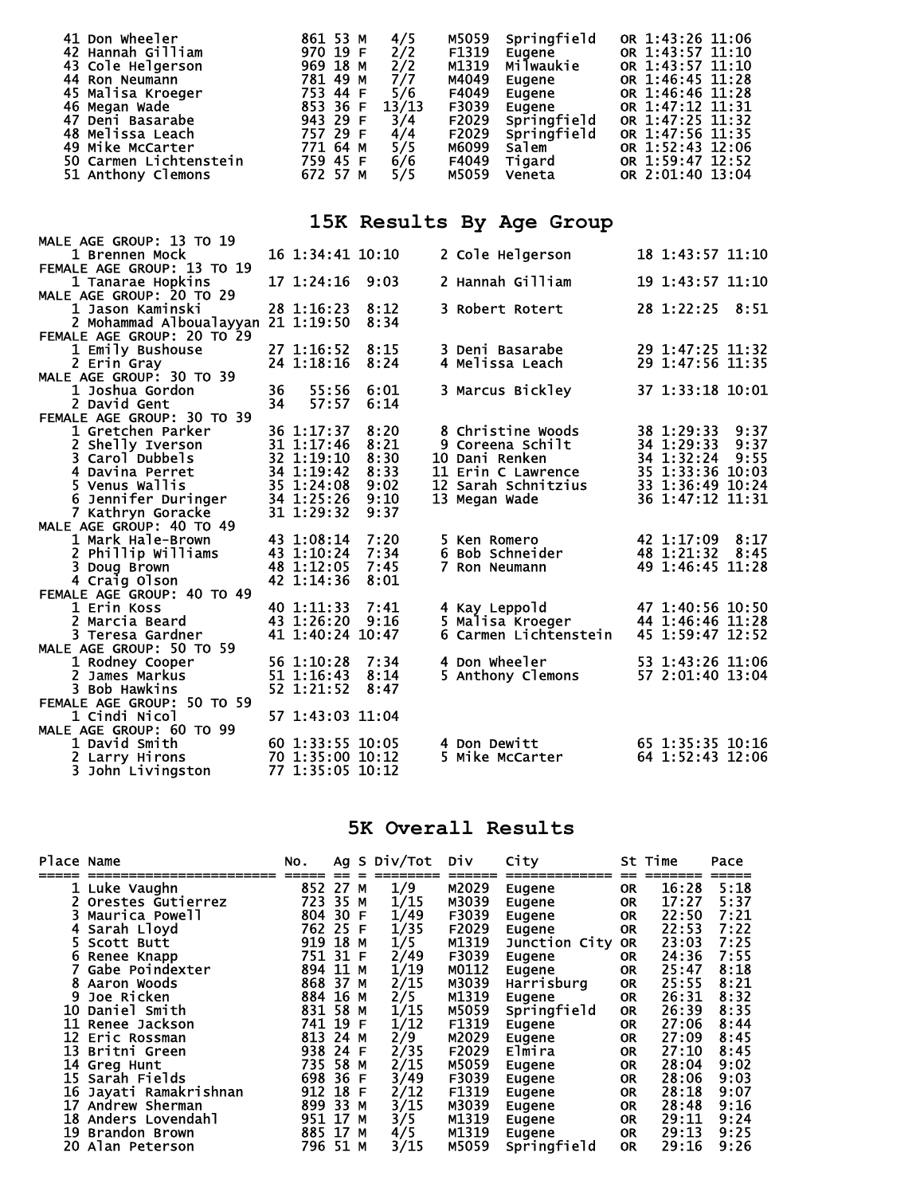| 41 Don Wheeler     |                        | 861 53 M |  | 4/5                            | M5059 | Springfield | OR 1:43:26 11:06 |  |
|--------------------|------------------------|----------|--|--------------------------------|-------|-------------|------------------|--|
| 42 Hannah Gilliam  |                        | 970 19 F |  | $\frac{2}{2}$<br>$\frac{2}{2}$ | F1319 | Eugene      | OR 1:43:57 11:10 |  |
| 43 Cole Helgerson  |                        | 969 18 M |  |                                | M1319 | Milwaukie   | OR 1:43:57 11:10 |  |
| 44 Ron Neumann     |                        | 781 49 M |  | 7/7                            | M4049 | Eugene      | OR 1:46:45 11:28 |  |
| 45 Malisa Kroeger  |                        | 753 44 F |  | 5/6                            | F4049 | Eugene      | OR 1:46:46 11:28 |  |
| 46 Megan Wade      |                        | 853 36 F |  | 13/13                          | F3039 | Eugene      | OR 1:47:12 11:31 |  |
| 47 Deni Basarabe   |                        | 943 29 F |  | 3/4                            | F2029 | Springfield | OR 1:47:25 11:32 |  |
| 48 Melissa Leach   |                        | 757 29 F |  | 4/4                            | F2029 | Springfield | OR 1:47:56 11:35 |  |
| 49 Mike McCarter   |                        | 771 64 M |  | 5/5                            | M6099 | Salem       | OR 1:52:43 12:06 |  |
|                    | 50 Carmen Lichtenstein | 759 45 F |  | 6/6                            | F4049 | Tigard      | OR 1:59:47 12:52 |  |
| 51 Anthony Clemons |                        | 672 57 M |  | 5/5                            | M5059 | Veneta      | OR 2:01:40 13:04 |  |

## **15K Results By Age Group**

|                                             |    |                                      | $2011 21000 = 00 27$ |                       |                                      |
|---------------------------------------------|----|--------------------------------------|----------------------|-----------------------|--------------------------------------|
| MALE AGE GROUP: 13 TO 19                    |    |                                      |                      |                       |                                      |
| 1 Brennen Mock                              |    | 16 1:34:41 10:10                     |                      | 2 Cole Helgerson      | 18 1:43:57 11:10                     |
| FEMALE AGE GROUP: 13 TO 19                  |    |                                      |                      |                       |                                      |
| 1 Tanarae Hopkins                           |    | 17 1:24:16                           | 9:03                 | 2 Hannah Gilliam      | 19 1:43:57 11:10                     |
| MALE AGE GROUP: 20 TO 29                    |    |                                      |                      |                       |                                      |
| 1 Jason Kaminski                            |    | 28 1:16:23                           | 8:12                 | 3 Robert Rotert       | 28 1:22:25 8:51                      |
| 2 Mohammad Alboualayyan                     |    | 211:19:50                            | 8:34                 |                       |                                      |
| FEMALE AGE GROUP: 20 TO 29                  |    |                                      |                      |                       |                                      |
| 1 Emily Bushouse                            |    | 27 1:16:52                           | 8:15                 | 3 Deni Basarabe       | 29 1:47:25 11:32                     |
| 2 Erin Gray                                 |    | 24 1:18:16                           | 8:24                 | 4 Melissa Leach       | 29 1:47:56 11:35                     |
| MALE AGE GROUP: 30 TO 39                    |    |                                      |                      |                       |                                      |
| 1 Joshua Gordon                             | 36 | 55:56                                | 6:01                 | 3 Marcus Bickley      | 37 1:33:18 10:01                     |
| 2 David Gent                                | 34 | 57:57                                | 6:14                 |                       |                                      |
| FEMALE AGE GROUP: 30 TO 39                  |    |                                      |                      |                       |                                      |
| 1 Gretchen Parker                           |    | 36 1:17:37                           | 8:20                 | 8 Christine Woods     | 38 1:29:33 9:37                      |
| 2 Shelly Iverson                            |    | 31 1:17:46                           | 8:21                 | 9 Coreena Schilt      | 34 1:29:33 9:37                      |
| 3 Carol Dubbels                             |    | 32 1:19:10                           | 8:30                 | 10 Dani Renken        | 34 1:32:24<br>9:55                   |
| 4 Davina Perret                             |    | 34 1:19:42                           | 8:33                 | 11 Erin C Lawrence    | 35 1:33:36 10:03                     |
| 5 Venus Wallis                              |    | 35 1:24:08                           | 9:02                 | 12 Sarah Schnitzius   | 33 1:36:49 10:24                     |
| 6 Jennifer Duringer                         |    | 34 1:25:26                           | 9:10                 | 13 Megan Wade         | 36 1:47:12 11:31                     |
| 7 Kathryn Goracke                           |    | 31 1:29:32                           | 9:37                 |                       |                                      |
| MALE AGE GROUP: 40 TO 49                    |    |                                      |                      |                       |                                      |
| 1 Mark Hale-Brown                           |    | 43 1:08:14 7:20                      |                      | 5 Ken Romero          | 42 1:17:09 8:17                      |
| 2 Phillip Williams                          |    | 43 1:10:24                           | 7:34                 | 6 Bob Schneider       | 48 1:21:32<br>8:45                   |
| 3 Doug Brown                                |    | 48 1:12:05                           | 7:45                 | 7 Ron Neumann         | 49 1:46:45 11:28                     |
| 4 Craig Olson                               |    | 42 1:14:36                           | 8:01                 |                       |                                      |
| FEMALE AGE GROUP: 40 TO 49                  |    |                                      |                      |                       |                                      |
| 1 Erin Koss                                 |    | 40 1:11:33 7:41                      |                      | 4 Kay Leppold         | 47 1:40:56 10:50                     |
| 2 Marcia Beard                              |    | 43 1:26:20                           | 9:16                 | 5 Malisa Kroeger      | 44 1:46:46 11:28                     |
| 3 Teresa Gardner                            |    | 41 1:40:24 10:47                     |                      | 6 Carmen Lichtenstein | 45 1:59:47 12:52                     |
| MALE AGE GROUP: 50 TO 59                    |    |                                      |                      | 4 Don Wheeler         |                                      |
| 1 Rodney Cooper                             |    | 56 1:10:28<br>51 1:16:43             | 7:34                 |                       | 53 1:43:26 11:06                     |
| 2 James Markus                              |    | 52 1:21:52                           | 8:14                 | 5 Anthony Clemons     | 57 2:01:40 13:04                     |
| 3 Bob Hawkins                               |    |                                      | 8:47                 |                       |                                      |
| FEMALE AGE GROUP: 50 TO 59<br>1 Cindi Nicol |    |                                      |                      |                       |                                      |
|                                             |    | 57 1:43:03 11:04                     |                      |                       |                                      |
| MALE AGE GROUP: 60 TO 99                    |    |                                      |                      | 4 Don Dewitt          |                                      |
| 1 David Smith                               |    | 60 1:33:55 10:05                     |                      |                       | 65 1:35:35 10:16<br>64 1:52:43 12:06 |
| 2 Larry Hirons                              |    | 70 1:35:00 10:12<br>77 1:35:05 10:12 |                      | 5 Mike McCarter       |                                      |
| 3 John Livingston                           |    |                                      |                      |                       |                                      |

## **5K Overall Results**

| Place Name |                     | NO.      |      |    | Ag S Div/Tot | Div   | City          |           | St Time | Pace |
|------------|---------------------|----------|------|----|--------------|-------|---------------|-----------|---------|------|
|            | 1 Luke Vaughn       | 852 27   |      | м  | 1/9          | M2029 | Eugene        | <b>OR</b> | 16:28   | 5:18 |
|            | Orestes Gutierrez   | 723      | 35   | М  | 1/15         | M3039 | Eugene        | <b>OR</b> | 17:27   | 5:37 |
|            | Maurica Powell      | 804 30 F |      |    | 1/49         | F3039 | Eugene        | <b>OR</b> | 22:50   | 7:21 |
|            | Sarah Lloyd         | 762 25   |      | -F | 1/35         | F2029 | Eugene        | <b>OR</b> | 22:53   | 7:22 |
|            | Scott Butt          | 919      | 18   | М  | 1/5          | M1319 | Junction City | <b>OR</b> | 23:03   | 7:25 |
|            | Renee Knapp         | 751 31 F |      |    | 2/49         | F3039 | Eugene        | 0R.       | 24:36   | 7:55 |
|            | Gabe Poindexter     | 894      | 11   | M  | 1/19         | M0112 | Eugene        | <b>OR</b> | 25:47   | 8:18 |
|            | Aaron Woods         | 868      | 37   | М  | 2/15         | M3039 | Harrisburg    | <b>OR</b> | 25:55   | 8:21 |
| 9          | Joe Ricken          | 884      | 16   | м  | 2/5          | M1319 | Eugene        | <b>OR</b> | 26:31   | 8:32 |
| 10         | Daniel Smith        | 831      | 58   | м  | 1/15         | M5059 | Springfield   | <b>OR</b> | 26:39   | 8:35 |
| 11         | Renee Jackson       | 741 19   |      | F  | 1/12         | F1319 | Eugene        | <b>OR</b> | 27:06   | 8:44 |
| 12         | Eric Rossman        | 813      | 24 M |    | 2/9          | M2029 | Eugene        | 0R        | 27:09   | 8:45 |
| 13         | Britni Green        | 938      | 24   | -F | 2/35         | F2029 | Elmira        | <b>OR</b> | 27:10   | 8:45 |
| 14         | Greg Hunt           | 735      | 58   | M  | 2/15         | M5059 | Eugene        | 0R        | 28:04   | 9:02 |
|            | 15 Sarah Fields     | 698      | 36   | -F | 3/49         | F3039 | Eugene        | 0R        | 28:06   | 9:03 |
| 16         | Jayati Ramakrishnan | 912      | 18   | -F | 2/12         | F1319 | Eugene        | <b>OR</b> | 28:18   | 9:07 |
| 17         | Andrew Sherman      | 899      | 33   | м  | 3/15         | M3039 | Eugene        | <b>OR</b> | 28:48   | 9:16 |
| 18         | Anders Lovendahl    | 951      | 17   | м  | 3/5          | M1319 | Eugene        | <b>OR</b> | 29:11   | 9:24 |
| 19         | Brandon Brown       | 885 17   |      | м  | 4/5          | M1319 | Eugene        | <b>OR</b> | 29:13   | 9:25 |
| 20         | Alan Peterson       | 796      | 51 M |    | 3/15         | M5059 | Springfield   | <b>OR</b> | 29:16   | 9:26 |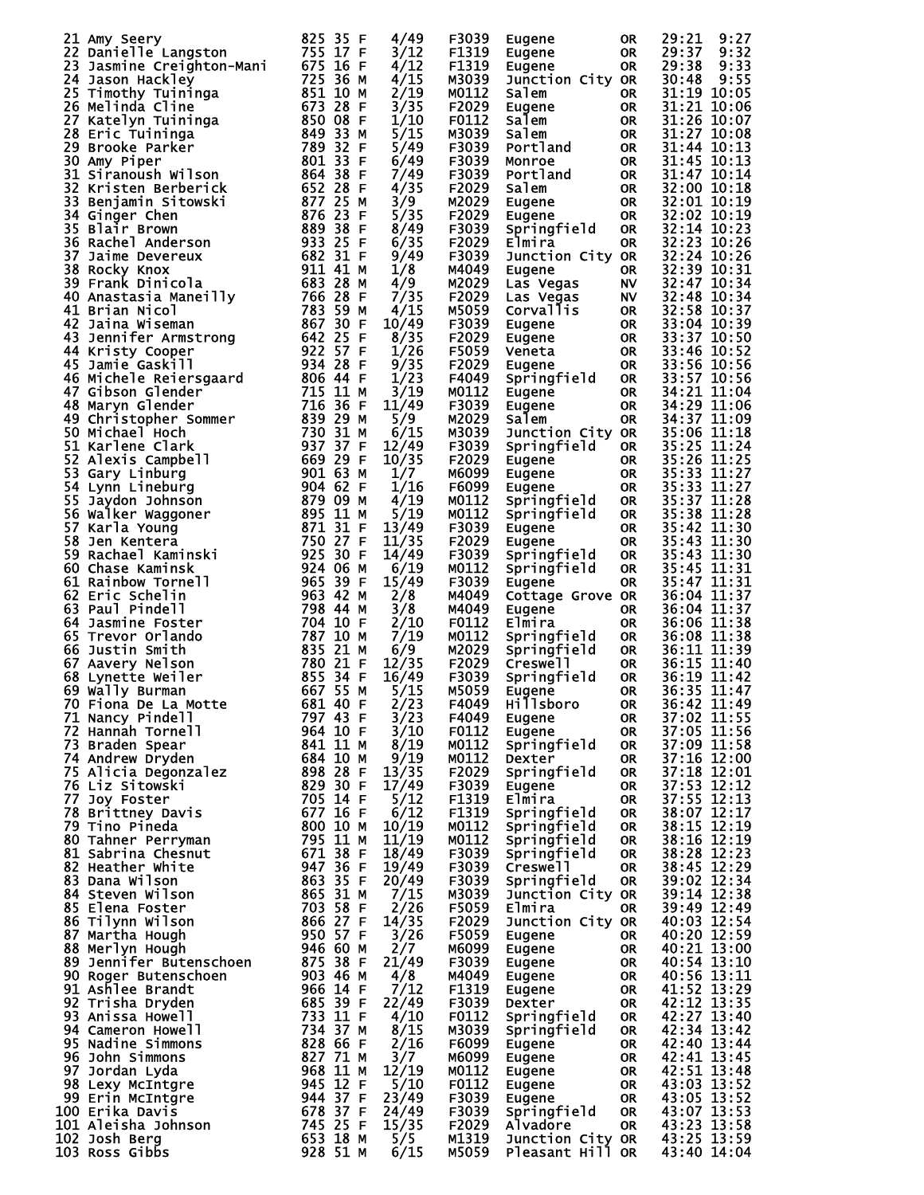| 21 Amy Seery                                                                                                                                | 825 35 F                                     | 4/49  | F3039 | Eugene              | 0R        | 29:21<br>9:27 |
|---------------------------------------------------------------------------------------------------------------------------------------------|----------------------------------------------|-------|-------|---------------------|-----------|---------------|
| 22 Danielle Langston                                                                                                                        | 755 17 F                                     | 3/12  | F1319 | Eugene              | <b>OR</b> | 29:37<br>9:32 |
| Danielle Langston<br>Jasmine Creighton-Mani 675 16 F<br>Jason Hackley 725 36 M<br>Timothy Tuininga 851 10 M<br>Melinda Cline 673 28 F<br>23 |                                              | 4/12  | F1319 | Eugene              | <b>OR</b> | 29:38<br>9:33 |
| 24 Jason Hackley                                                                                                                            |                                              | 4/15  | M3039 | Junction City OR    |           | 30:48<br>9:55 |
| 25 Timothy Tuininga                                                                                                                         |                                              | 2/19  | M0112 | Salem               | OR        | 31:19 10:05   |
| 26 Melinda Cline                                                                                                                            |                                              | 3/35  | F2029 | Eugene              | <b>OR</b> | 31:21 10:06   |
|                                                                                                                                             |                                              |       |       |                     |           |               |
| 27<br>Katelyn Tuininga                                                                                                                      | 850 08<br>-F                                 | 1/10  | F0112 | Salem               | <b>OR</b> | 31:26 10:07   |
| 28 Eric Tuininga                                                                                                                            | 849 33<br>M                                  | 5/15  | M3039 | Salem               | <b>OR</b> | 31:27 10:08   |
| 29<br>Brooke Parker                                                                                                                         | 789 32 F<br>801 33 E                         | 5/49  | F3039 | Portland            | OR        | 31:44 10:13   |
| 30 Amy Piper                                                                                                                                | 801 33 F                                     | 6/49  | F3039 | Monroe              | <b>OR</b> | 31:45 10:13   |
|                                                                                                                                             |                                              |       |       |                     |           |               |
| 31 Siranoush Wilson                                                                                                                         | 864 38 F                                     | 7/49  | F3039 | Portland            | OR        | 31:47 10:14   |
| 32<br>Kristen Berberick                                                                                                                     | 652 28<br>-F                                 | 4/35  | F2029 | Salem               | <b>OR</b> | 32:00 10:18   |
| 33<br>Benjamin Sitowski                                                                                                                     | 877 25<br>M                                  | 3/9   | M2029 | Eugene              | OR        | 32:01 10:19   |
| 34 Ginger Chen                                                                                                                              | 876 23 F                                     | 5/35  | F2029 | Eugene              | <b>OR</b> | 32:02 10:19   |
| 35 Blair Brown                                                                                                                              |                                              | 8/49  | F3039 | Springfield         | <b>OR</b> | 32:14 10:23   |
|                                                                                                                                             | 889 38 F<br>933 25 F<br>682 31 F<br>911 41 M |       |       |                     |           |               |
| 36 Rachel Anderson                                                                                                                          |                                              | 6/35  | F2029 | Elmira              | <b>OR</b> | 32:23 10:26   |
| 37<br>Jaime Devereux                                                                                                                        |                                              | 9/49  | F3039 | Junction City OR    |           | 32:24 10:26   |
| 38 Rocky Knox                                                                                                                               |                                              | 1/8   | M4049 | Eugene              | <b>OR</b> | 32:39 10:31   |
| 39 Frank Dinicola                                                                                                                           | 683 28 M<br>766 28 F<br>783 59 M<br>867 30 F | 4/9   | M2029 | Las Vegas           | <b>NV</b> | 32:47 10:34   |
|                                                                                                                                             |                                              |       |       |                     |           |               |
| 40 Anastasia Maneilly                                                                                                                       |                                              | 7/35  | F2029 | Las Vegas           | <b>NV</b> | 32:48 10:34   |
| 41 Brian Nicol                                                                                                                              |                                              | 4/15  | M5059 | Corvallis           | <b>OR</b> | 32:58 10:37   |
| 42 Jaina Wiseman                                                                                                                            |                                              | 10/49 | F3039 | Eugene              | OR        | 33:04 10:39   |
| 43 Jennifer Armstrong                                                                                                                       | 642 25 F<br>922 57 F                         | 8/35  | F2029 | Eugene              | <b>OR</b> | 33:37 10:50   |
|                                                                                                                                             |                                              | 1/26  | F5059 |                     |           | 33:46 10:52   |
| 44 Kristy Cooper                                                                                                                            |                                              |       |       | Veneta              | OR        |               |
| 45 Jamie Gaskill                                                                                                                            |                                              | 9/35  | F2029 | Eugene              | OR        | 33:56 10:56   |
| 46 Michele Reiersgaard                                                                                                                      | 934 28 F<br>806 44 F<br>715 11 M<br>716 36 F | 1/23  | F4049 | Springfield         | OR        | 33:57 10:56   |
| 47 Gibson Glender                                                                                                                           |                                              | 3/19  | M0112 | Eugene              | OR        | 34:21 11:04   |
| 48 Maryn Glender                                                                                                                            |                                              | 11/49 | F3039 | Eugene              | <b>OR</b> | 34:29 11:06   |
|                                                                                                                                             |                                              |       |       |                     |           |               |
| 49 Christopher Sommer                                                                                                                       | 839 29<br>м                                  | 5/9   | M2029 | Salem               | OR        | 34:37 11:09   |
| 50 Michael Hoch                                                                                                                             | 730 31 M                                     | 6/15  | M3039 | Junction City OR    |           | 35:06 11:18   |
| 51 Karlene Clark                                                                                                                            | 937 37 F<br>669 29 F                         | 12/49 | F3039 | Springfield         | <b>OR</b> | 35:25 11:24   |
| 52 Alexis Campbell                                                                                                                          |                                              | 10/35 | F2029 | Eugene              | <b>OR</b> | 35:26 11:25   |
| 53.<br>Gary Linburg                                                                                                                         |                                              | 1/7   | M6099 | Eugene              | <b>OR</b> | 35:33 11:27   |
|                                                                                                                                             | 901 63 м<br>904 62 F                         |       |       |                     |           |               |
| 54 Lynn Lineburg                                                                                                                            |                                              | 1/16  | F6099 | Eugene              | <b>OR</b> | 35:33 11:27   |
| 55 Jaydon Johnson                                                                                                                           | 879 О9 М<br>895 11 М                         | 4/19  | M0112 | Springfield         | OR        | 35:37 11:28   |
| 56 Walker Waggoner<br>57 Karla Young                                                                                                        |                                              | 5/19  | M0112 | Springfield         | OR        | 35:38 11:28   |
| 57 Karla Young                                                                                                                              | $87131$ F                                    | 13/49 | F3039 | Eugene              | OR        | 35:42 11:30   |
|                                                                                                                                             |                                              |       |       |                     |           |               |
| 58 Jen Kentera                                                                                                                              | 750 27 F                                     | 11/35 | F2029 | Eugene              | <b>OR</b> | 35:43 11:30   |
| 59 Rachael Kaminski                                                                                                                         | 925 30<br>-F                                 | 14/49 | F3039 | Springfield         | <b>OR</b> | 35:43 11:30   |
| 60 Chase Kaminsk                                                                                                                            | 924 06<br>м                                  | 6/19  | M0112 | Springfield         | <b>OR</b> | 35:45 11:31   |
| 61 Rainbow Tornell                                                                                                                          | 965 39 F                                     | 15/49 | F3039 | Eugene              | <b>OR</b> | 35:47 11:31   |
| 62 Eric Schelin                                                                                                                             | 963 42 M                                     | 2/8   | M4049 | Cottage Grove OR    |           | 36:04 11:37   |
|                                                                                                                                             |                                              |       |       |                     |           |               |
| 63 Paul Pindell                                                                                                                             | 798 44<br>м                                  | 3/8   | M4049 | Eugene              | <b>OR</b> | 36:04 11:37   |
| 64 Jasmine Foster                                                                                                                           | 704 10 F                                     | 2/10  | F0112 | Elmira              | <b>OR</b> | 36:06 11:38   |
| 65 Trevor Orlando                                                                                                                           |                                              | 7/19  | M0112 | Springfield         | <b>OR</b> | 36:08 11:38   |
| 66 Justin Smith                                                                                                                             | 835 21 M                                     | 6/9   | M2029 | Springfield         | OR        | 36:11 11:39   |
|                                                                                                                                             |                                              |       |       | Creswell            |           |               |
| 67 Aavery Nelson                                                                                                                            | 780 21<br>855 34<br>-F                       | 12/35 | F2029 |                     | OR        | 36:15 11:40   |
| 68<br>Lynette Weiler                                                                                                                        | -F                                           | 16/49 | F3039 | Springfield         | <b>OR</b> | 36:19 11:42   |
| 69 Wally Burman                                                                                                                             | 667 55<br>м                                  | 5/15  | M5059 |                     | <b>OR</b> | 36:35 11:47   |
| 70 Fiona De La Motte                                                                                                                        | 681 40 F                                     | 2/23  | F4049 | Eugene<br>Hillsboro | <b>OR</b> | 36:42 11:49   |
| 71 Nancy Pindell                                                                                                                            | 797 43 F                                     | 3/23  | F4049 | Eugene              | 0R        | 37:02 11:55   |
| 72 Hannah Tornell                                                                                                                           | 964 10 F                                     | 3/10  | F0112 |                     | <b>OR</b> | 37:05 11:56   |
|                                                                                                                                             |                                              |       |       | Eugene              |           |               |
| 73 Braden Spear                                                                                                                             | 841 11 M                                     | 8/19  | M0112 | Springfield         | <b>OR</b> | 37:09 11:58   |
| 74 Andrew Dryden                                                                                                                            | 684 10 M                                     | 9/19  | M0112 | <b>Dexter</b>       | <b>OR</b> | 37:16 12:00   |
| 75 Alicia Degonzalez                                                                                                                        | 898 28 F                                     | 13/35 | F2029 | Springfield         | <b>OR</b> | 37:18 12:01   |
| 76 Liz Sitowski                                                                                                                             | 829 30 F                                     | 17/49 | F3039 | Eugene              | <b>OR</b> | 37:53 12:12   |
|                                                                                                                                             |                                              |       |       |                     |           | 37:55 12:13   |
| 77 Joy Foster                                                                                                                               | 705 14 F                                     | 5/12  | F1319 | Elmira              | <b>OR</b> |               |
| 78 Brittney Davis                                                                                                                           | 677 16 F                                     | 6/12  | F1319 | Springfield         | <b>OR</b> | 38:07 12:17   |
| 79 Tino Pineda                                                                                                                              | 800 10 M                                     | 10/19 | M0112 | Springfield         | <b>OR</b> | 38:15 12:19   |
| 80 Tahner Perryman                                                                                                                          | 795 11 M                                     | 11/19 | M0112 | Springfield         | <b>OR</b> | 38:16 12:19   |
| 81 Sabrina Chesnut                                                                                                                          | 671 38 F                                     | 18/49 | F3039 | Springfield         | <b>OR</b> | 38:28 12:23   |
| 82 Heather white                                                                                                                            | 947 36 F                                     | 19/49 | F3039 | Creswell            | <b>OR</b> | 38:45 12:29   |
|                                                                                                                                             |                                              |       |       |                     |           |               |
| 83 Dana Wilson                                                                                                                              | 863 35 F                                     | 20/49 | F3039 | Springfield         | OR        | 39:02 12:34   |
| 84 Steven Wilson                                                                                                                            | 865 31 M                                     | 7/15  | M3039 | Junction City OR    |           | 39:14 12:38   |
| 85 Elena Foster                                                                                                                             | 703 58 F                                     | 2/26  | F5059 | Elmira              | OR        | 39:49 12:49   |
| 86 Tilynn Wilson                                                                                                                            | 866 27 F                                     | 14/35 | F2029 | Junction City OR    |           | 40:03 12:54   |
| 87 Martha Hough                                                                                                                             | 950 57 F                                     | 3/26  | F5059 |                     | OR        | 40:20 12:59   |
|                                                                                                                                             |                                              |       |       | Eugene              |           |               |
| 88 Merlyn Hough                                                                                                                             | 946 60 M                                     | 2/7   | M6099 | Eugene              | <b>OR</b> | 40:21 13:00   |
| 89 Jennifer Butenschoen                                                                                                                     | 875 38 F                                     | 21/49 | F3039 | Eugene              | <b>OR</b> | 40:54 13:10   |
| 90 Roger Butenschoen                                                                                                                        | 903 46 M                                     | 4/8   | M4049 | Eugene              | <b>OR</b> | 40:56 13:11   |
| 91 Ashlee Brandt                                                                                                                            | 966 14 F                                     | 7/12  | F1319 | Eugene              | <b>OR</b> | 41:52 13:29   |
|                                                                                                                                             | 685 39 F                                     | 22/49 | F3039 |                     | <b>OR</b> | 42:12 13:35   |
| 92 Trisha Dryden                                                                                                                            |                                              |       |       | Dexter              |           |               |
| 93 Anissa Howell                                                                                                                            | 733 11 F                                     | 4/10  | F0112 | Springfield         | <b>OR</b> | 42:27 13:40   |
| 94 Cameron Howell                                                                                                                           | 734 37 M                                     | 8/15  | M3039 | Springfield         | <b>OR</b> | 42:34 13:42   |
| 95 Nadine Simmons                                                                                                                           | 828 66 F                                     | 2/16  | F6099 | Eugene              | <b>OR</b> | 42:40 13:44   |
| 96 John Simmons                                                                                                                             | 827 71 M                                     | 3/7   | M6099 | Eugene              | <b>OR</b> | 42:41 13:45   |
|                                                                                                                                             |                                              |       |       |                     |           |               |
| 97 Jordan Lyda                                                                                                                              | 968 11 M                                     | 12/19 | M0112 | Eugene              | <b>OR</b> | 42:51 13:48   |
| 98 Lexy McIntgre                                                                                                                            | 945 12 F                                     | 5/10  | F0112 | Eugene              | <b>OR</b> | 43:03 13:52   |
| 99 Erin McIntgre                                                                                                                            | 944 37 F                                     | 23/49 | F3039 | Eugene              | <b>OR</b> | 43:05 13:52   |
| 100 Erika Davis                                                                                                                             | 678 37 F                                     | 24/49 | F3039 | Springfield         | <b>OR</b> | 43:07 13:53   |
| 101 Aleisha Johnson                                                                                                                         | 745 25 F                                     | 15/35 | F2029 | Alvadore            | <b>OR</b> | 43:23 13:58   |
|                                                                                                                                             |                                              |       |       |                     |           |               |
| 102 Josh Berg                                                                                                                               | 653 18 M                                     | 5/5   | M1319 | Junction City OR    |           | 43:25 13:59   |
| 103 Ross Gibbs                                                                                                                              | 928 51 M                                     | 6/15  | M5059 | Pleasant Hill OR    |           | 43:40 14:04   |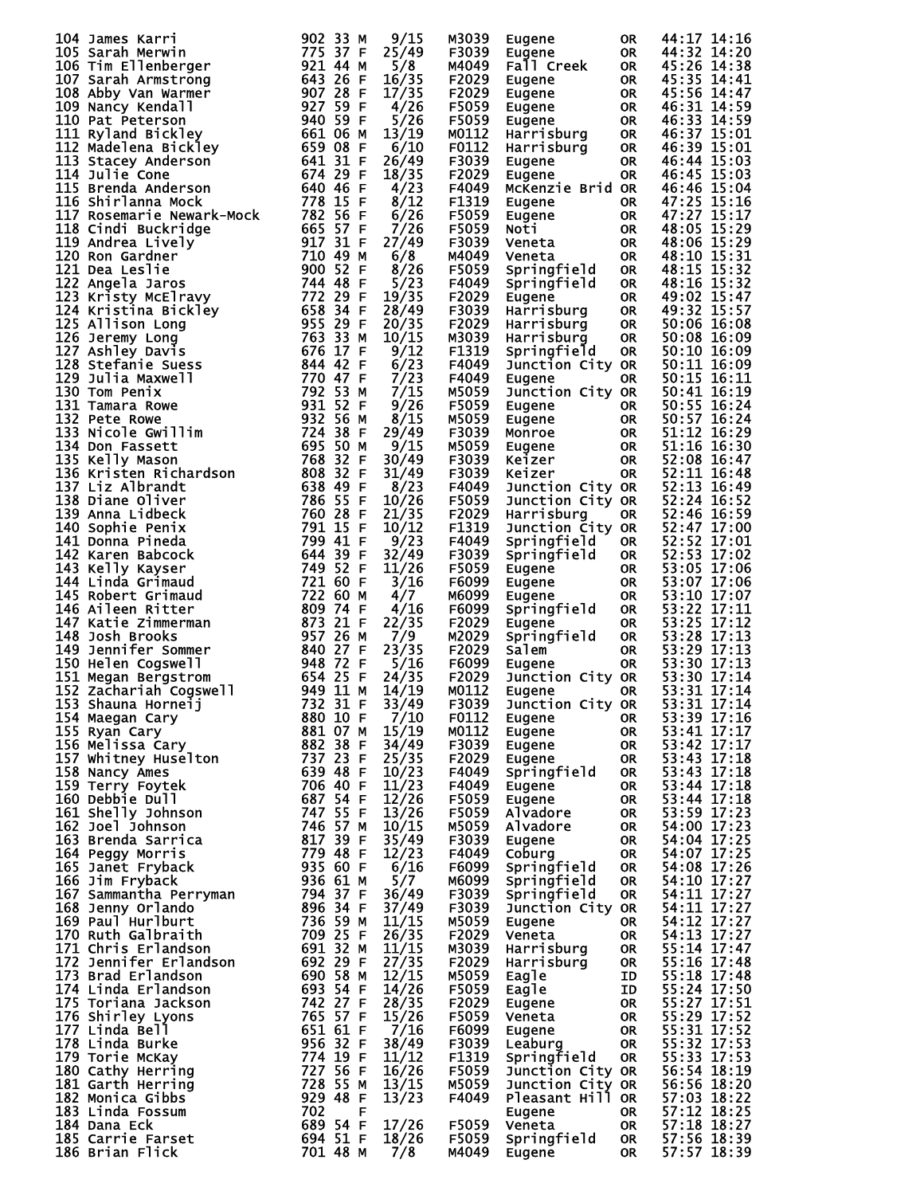| 104 James Karri                                                                                                                                                                                                                                        | 902 33 M | 9/15  | M3039 | Eugene                                         | 0R        | 44:17 14:16                |
|--------------------------------------------------------------------------------------------------------------------------------------------------------------------------------------------------------------------------------------------------------|----------|-------|-------|------------------------------------------------|-----------|----------------------------|
|                                                                                                                                                                                                                                                        |          | 25/49 | F3039 | Eugene                                         | OR        | 44:32 14:20                |
|                                                                                                                                                                                                                                                        |          | 5/8   | M4049 | Fall Creek                                     | OR        | 45:26 14:38                |
|                                                                                                                                                                                                                                                        |          | 16/35 | F2029 |                                                |           | 45:35 14:41                |
|                                                                                                                                                                                                                                                        |          |       |       | Eugene                                         | 0R        |                            |
|                                                                                                                                                                                                                                                        |          | 17/35 | F2029 | Eugene                                         | <b>OR</b> | 45:56 14:47                |
|                                                                                                                                                                                                                                                        |          | 4/26  | F5059 | Eugene                                         | <b>OR</b> | 46:31 14:59                |
|                                                                                                                                                                                                                                                        |          |       |       |                                                |           |                            |
|                                                                                                                                                                                                                                                        |          | 5/26  | F5059 | Eugene                                         | OR        | 46:33 14:59                |
|                                                                                                                                                                                                                                                        |          | 13/19 | M0112 | Harrisburg                                     | <b>OR</b> | 46:37 15:01                |
|                                                                                                                                                                                                                                                        |          | 6/10  | F0112 | Harrisburg                                     | <b>OR</b> | 46:39 15:01                |
|                                                                                                                                                                                                                                                        |          |       |       |                                                |           |                            |
|                                                                                                                                                                                                                                                        |          | 26/49 | F3039 | Eugene                                         | <b>OR</b> | 46:44 15:03                |
|                                                                                                                                                                                                                                                        |          | 18/35 | F2029 | Eugene                                         | <b>OR</b> | 46:45 15:03                |
|                                                                                                                                                                                                                                                        |          | 4/23  | F4049 | McKenzie Brid OR                               |           | 46:46 15:04                |
|                                                                                                                                                                                                                                                        |          |       |       |                                                |           |                            |
|                                                                                                                                                                                                                                                        |          | 8/12  | F1319 | Eugene                                         | OR        | 47:25 15:16                |
|                                                                                                                                                                                                                                                        |          | 6/26  | F5059 | Eugene                                         | <b>OR</b> | 47:27 15:17                |
|                                                                                                                                                                                                                                                        |          | 7/26  | F5059 |                                                | <b>OR</b> | 48:05 15:29                |
|                                                                                                                                                                                                                                                        |          |       |       | Noti                                           |           |                            |
|                                                                                                                                                                                                                                                        |          | 27/49 | F3039 | Veneta                                         | <b>OR</b> | 48:06 15:29                |
|                                                                                                                                                                                                                                                        |          | 6/8   | M4049 | Veneta                                         | <b>OR</b> | 48:10 15:31                |
|                                                                                                                                                                                                                                                        |          |       |       |                                                |           |                            |
|                                                                                                                                                                                                                                                        |          | 8/26  | F5059 | Springfield                                    | <b>OR</b> | 48:15 15:32                |
|                                                                                                                                                                                                                                                        |          | 5/23  | F4049 | Springfield                                    | <b>OR</b> | 48:16 15:32                |
|                                                                                                                                                                                                                                                        |          | 19/35 | F2029 | Eugene                                         | <b>OR</b> | 49:02 15:47                |
|                                                                                                                                                                                                                                                        |          |       |       |                                                |           |                            |
|                                                                                                                                                                                                                                                        |          | 28/49 | F3039 | Harrisburg                                     | <b>OR</b> | 49:32 15:57                |
|                                                                                                                                                                                                                                                        |          | 20/35 | F2029 | Harrisburg                                     | <b>OR</b> | 50:06 16:08                |
|                                                                                                                                                                                                                                                        |          | 10/15 | M3039 | Harrisburg                                     | <b>OR</b> | 50:08 16:09                |
|                                                                                                                                                                                                                                                        |          |       |       |                                                |           |                            |
|                                                                                                                                                                                                                                                        |          | 9/12  | F1319 | Springfield                                    | <b>OR</b> | 50:10 16:09                |
| 104 James Karri<br>105 Sarah Merwinn<br>106 Sarah Merwinn<br>106 Sarah Armstrong<br>107 Sarah Armstrong<br>107 Sarah Armstrong<br>107 Sarah Armstrong<br>108 Abby Van Warmer<br>109 Nancy Keeladil 1<br>110 Pat Peterson<br>111 Ryland Bickley<br>11   |          | 6/23  | F4049 | Junction City OR                               |           | 50:11 16:09                |
|                                                                                                                                                                                                                                                        |          |       |       |                                                |           |                            |
|                                                                                                                                                                                                                                                        |          | 7/23  | F4049 | Eugene                                         | OR        | 50:15 16:11                |
|                                                                                                                                                                                                                                                        |          | 7/15  | M5059 | Junction City OR                               |           | 50:41 16:19                |
|                                                                                                                                                                                                                                                        |          | 9/26  | F5059 |                                                | OR.       | 50:55 16:24                |
|                                                                                                                                                                                                                                                        |          |       |       | Eugene                                         |           |                            |
|                                                                                                                                                                                                                                                        |          | 8/15  | M5059 |                                                | <b>OR</b> | 50:57 16:24                |
|                                                                                                                                                                                                                                                        |          | 29/49 | F3039 |                                                | <b>OR</b> | 51:12 16:29                |
|                                                                                                                                                                                                                                                        |          |       |       |                                                |           |                            |
|                                                                                                                                                                                                                                                        |          | 9/15  | M5059 | <b>Eugene<br/>Monroe<br/>Eugene<br/>Keizer</b> | <b>OR</b> | 51:16 16:30                |
|                                                                                                                                                                                                                                                        |          | 30/49 | F3039 | Keizer                                         | <b>OR</b> | 52:08 16:47                |
|                                                                                                                                                                                                                                                        |          | 31/49 | F3039 | Keizer                                         | <b>OR</b> | 52:11 16:48                |
|                                                                                                                                                                                                                                                        |          |       |       |                                                |           |                            |
|                                                                                                                                                                                                                                                        |          | 8/23  | F4049 | Junction City OR                               |           | 52:13 16:49                |
|                                                                                                                                                                                                                                                        |          | 10/26 | F5059 | Junction City OR                               |           | 52:24 16:52                |
|                                                                                                                                                                                                                                                        |          |       |       |                                                |           |                            |
|                                                                                                                                                                                                                                                        |          | 21/35 | F2029 | Harrisburg                                     | OR        | 52:46 16:59                |
|                                                                                                                                                                                                                                                        |          | 10/12 | F1319 | Junction City OR                               |           | 52:47 17:00                |
|                                                                                                                                                                                                                                                        |          | 9/23  | F4049 | Springfield                                    | <b>OR</b> | 52:52 17:01                |
|                                                                                                                                                                                                                                                        |          |       |       |                                                |           |                            |
|                                                                                                                                                                                                                                                        |          | 32/49 | F3039 | Springfield                                    | <b>OR</b> | 52:53 17:02                |
|                                                                                                                                                                                                                                                        |          | 11/26 | F5059 | Eugene                                         | <b>OR</b> | 53:05 17:06                |
|                                                                                                                                                                                                                                                        |          |       |       |                                                |           |                            |
|                                                                                                                                                                                                                                                        |          | 3/16  | F6099 | Eugene                                         | OR        | 53:07 17:06                |
|                                                                                                                                                                                                                                                        |          | 4/7   | M6099 | Eugene                                         | <b>OR</b> | 53:10 17:07                |
|                                                                                                                                                                                                                                                        |          | 4/16  | F6099 | Springfield                                    | <b>OR</b> | 53:22 17:11                |
|                                                                                                                                                                                                                                                        |          |       |       |                                                |           |                            |
|                                                                                                                                                                                                                                                        |          | 22/35 | F2029 | Eugene                                         | <b>OR</b> | 53:25 17:12                |
|                                                                                                                                                                                                                                                        |          | 7/9   | M2029 | Springfield                                    | <b>OR</b> | 53:28 17:13                |
|                                                                                                                                                                                                                                                        |          | 23/35 | F2029 | Salem                                          | <b>OR</b> | 53:29 17:13                |
|                                                                                                                                                                                                                                                        |          |       |       |                                                |           |                            |
|                                                                                                                                                                                                                                                        |          | 5/16  | F6099 | Eugene                                         | <b>OR</b> | 53:30 17:13                |
|                                                                                                                                                                                                                                                        |          | 24/35 | F2029 | Junction City OR                               |           | 53:30 17:14                |
|                                                                                                                                                                                                                                                        |          |       | M0112 |                                                |           | 53:31 17:14                |
|                                                                                                                                                                                                                                                        |          | 14/19 |       | Eugene                                         | <b>OR</b> |                            |
| 153 Shauna Horneij                                                                                                                                                                                                                                     | 732 31 F | 33/49 | F3039 | Junction City OR                               |           | 53:31 17:14                |
|                                                                                                                                                                                                                                                        |          | 7/10  | F0112 | Eugene                                         | 0R        | 53:39 17:16                |
|                                                                                                                                                                                                                                                        |          |       |       |                                                |           |                            |
|                                                                                                                                                                                                                                                        |          | 15/19 | M0112 | Eugene                                         | OR        | 53:41 17:17                |
|                                                                                                                                                                                                                                                        |          | 34/49 | F3039 | Eugene                                         | <b>OR</b> | 53:42 17:17                |
|                                                                                                                                                                                                                                                        |          | 25/35 | F2029 | Eugene                                         | <b>OR</b> | 53:43 17:18                |
|                                                                                                                                                                                                                                                        |          |       |       |                                                |           |                            |
|                                                                                                                                                                                                                                                        |          | 10/23 | F4049 | Springfield                                    | <b>OR</b> | 53:43 17:18                |
|                                                                                                                                                                                                                                                        |          | 11/23 | F4049 | Eugene                                         | <b>OR</b> | 53:44 17:18                |
|                                                                                                                                                                                                                                                        |          | 12/26 | F5059 | Eugene                                         | <b>OR</b> | 53:44 17:18                |
|                                                                                                                                                                                                                                                        |          |       |       |                                                |           |                            |
|                                                                                                                                                                                                                                                        |          | 13/26 | F5059 | Alvadore                                       | <b>OR</b> | 53:59 17:23                |
|                                                                                                                                                                                                                                                        |          | 10/15 | M5059 | Alvadore                                       | <b>OR</b> | 54:00 17:23                |
|                                                                                                                                                                                                                                                        |          | 35/49 | F3039 |                                                | <b>OR</b> | 54:04 17:25                |
|                                                                                                                                                                                                                                                        |          |       |       | Eugene                                         |           |                            |
|                                                                                                                                                                                                                                                        |          | 12/23 | F4049 | Coburg                                         | <b>OR</b> | 54:07 17:25                |
|                                                                                                                                                                                                                                                        |          | 6/16  | F6099 | Springfield                                    | <b>OR</b> | 54:08 17:26                |
|                                                                                                                                                                                                                                                        |          |       |       |                                                |           |                            |
|                                                                                                                                                                                                                                                        |          | 5/7   | M6099 | Springfield                                    | <b>OR</b> | 54:10 17:27                |
|                                                                                                                                                                                                                                                        |          | 36/49 | F3039 | Springfield                                    | <b>OR</b> | 54:11 17:27                |
|                                                                                                                                                                                                                                                        |          | 37/49 | F3039 | Junction City OR                               |           | 54:11 17:27                |
|                                                                                                                                                                                                                                                        |          |       |       |                                                |           |                            |
|                                                                                                                                                                                                                                                        |          | 11/15 | M5059 | Eugene                                         | OR        | 54:12 17:27                |
|                                                                                                                                                                                                                                                        |          | 26/35 | F2029 | Veneta                                         | <b>OR</b> | 54:13 17:27                |
|                                                                                                                                                                                                                                                        |          |       |       |                                                |           | 55:14 17:47                |
|                                                                                                                                                                                                                                                        |          | 11/15 | M3039 | Harrisburg                                     | <b>OR</b> |                            |
|                                                                                                                                                                                                                                                        |          | 27/35 | F2029 | Harrisburg                                     | <b>OR</b> | 55:16 17:48                |
|                                                                                                                                                                                                                                                        |          | 12/15 | M5059 | Eagle                                          | ID        | 55:18 17:48                |
|                                                                                                                                                                                                                                                        |          |       |       |                                                |           |                            |
|                                                                                                                                                                                                                                                        |          | 14/26 | F5059 | Eagle                                          | ID        | 55:24 17:50                |
|                                                                                                                                                                                                                                                        |          | 28/35 | F2029 | Eugene                                         | <b>OR</b> | 55:27 17:51                |
|                                                                                                                                                                                                                                                        |          |       |       |                                                |           |                            |
|                                                                                                                                                                                                                                                        |          | 15/26 | F5059 | Veneta                                         | <b>OR</b> | 55:29 17:52                |
|                                                                                                                                                                                                                                                        |          | 7/16  | F6099 | Eugene                                         | <b>OR</b> | 55:31 17:52                |
|                                                                                                                                                                                                                                                        |          | 38/49 | F3039 | Leaburg                                        | <b>OR</b> |                            |
|                                                                                                                                                                                                                                                        |          |       |       |                                                |           | 55:32 17:53<br>55:33 17:53 |
|                                                                                                                                                                                                                                                        |          | 11/12 | F1319 | Springfield                                    | OR.       |                            |
|                                                                                                                                                                                                                                                        |          | 16/26 | F5059 | Junction City OR                               |           | 56:54 18:19                |
|                                                                                                                                                                                                                                                        |          |       |       |                                                |           |                            |
|                                                                                                                                                                                                                                                        |          | 13/15 | M5059 | Junction City OR                               |           | 56:56 18:20                |
|                                                                                                                                                                                                                                                        |          | 13/23 | F4049 | Pleasant Hill OR                               |           |                            |
|                                                                                                                                                                                                                                                        |          |       |       | Eugene                                         | OR.       | 57:03 18:22<br>57:12 18:25 |
| 151 megan arrivoim<br>152 zachariah Cogswell<br>153 Shauna Horneij<br>153 Shauna Horneij<br>153 Shauna Horneij<br>153 Shauna Horneij<br>155 Ngan Cary<br>155 Ngan Cary<br>155 Ngan Cary<br>155 Ngan Cary<br>162 Joelhie Dull<br>160 Debbie Dull<br>160 |          |       |       |                                                |           |                            |
|                                                                                                                                                                                                                                                        |          | 17/26 | F5059 | Veneta                                         | <b>OR</b> | 57:18 18:27                |
|                                                                                                                                                                                                                                                        |          | 18/26 | F5059 | Springfield                                    | <b>OR</b> | 57:56 18:39                |
|                                                                                                                                                                                                                                                        |          | 7/8   | M4049 | Eugene                                         | 0R        | 57:57 18:39                |
|                                                                                                                                                                                                                                                        |          |       |       |                                                |           |                            |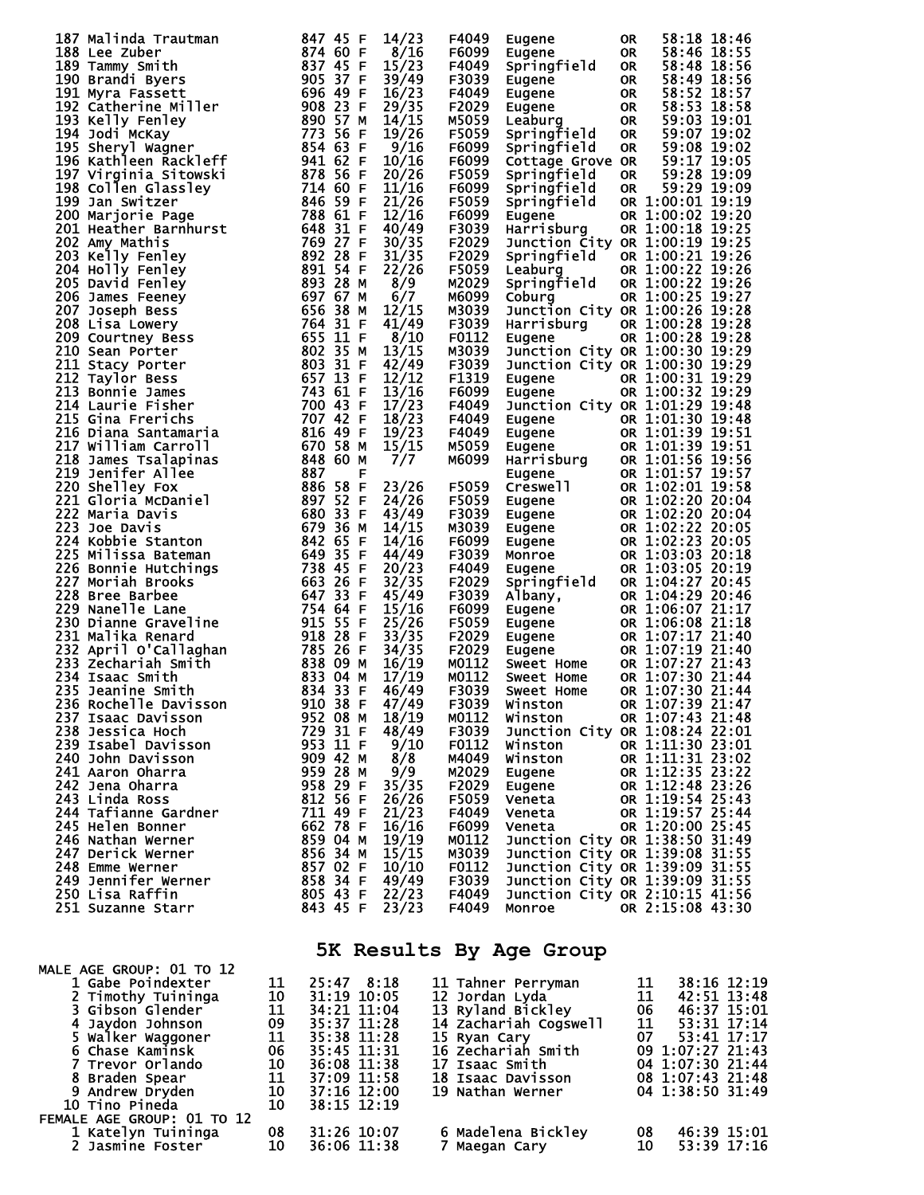| 187 Malinda Trautman<br>187 Malinda Trautman<br>188 Lee Zuber<br>189 Tammy Smith<br>189 Tammy Smith<br>189 Tammy Smith<br>189 Tammy Smith<br>189 Tammy Smith<br>189 Tammy Smith<br>197 Galerine Miller<br>199 Scatterine Miller<br>199 Kelly Fenley<br>199 Scatterine Maximi | 847 45 F | 14/23          | F4049          | Eugene                                                                                                                                                                                                                                         | <b>OR</b> |                                         | 58:18 18:46 |
|------------------------------------------------------------------------------------------------------------------------------------------------------------------------------------------------------------------------------------------------------------------------------|----------|----------------|----------------|------------------------------------------------------------------------------------------------------------------------------------------------------------------------------------------------------------------------------------------------|-----------|-----------------------------------------|-------------|
|                                                                                                                                                                                                                                                                              |          | 8/16           | F6099          | Eugene                                                                                                                                                                                                                                         | OR        |                                         | 58:46 18:55 |
|                                                                                                                                                                                                                                                                              |          | 15/23          | F4049          | Springfield                                                                                                                                                                                                                                    | OR        |                                         | 58:48 18:56 |
|                                                                                                                                                                                                                                                                              |          | 39/49          | F3039          | Eugene                                                                                                                                                                                                                                         | <b>OR</b> |                                         | 58:49 18:56 |
|                                                                                                                                                                                                                                                                              |          | 16/23          | F4049          | Eugene                                                                                                                                                                                                                                         | OR        |                                         | 58:52 18:57 |
|                                                                                                                                                                                                                                                                              |          | 29/35          | F2029          | Eugene                                                                                                                                                                                                                                         | OR        | 58:53 18:58                             |             |
|                                                                                                                                                                                                                                                                              |          | 14/15          | M5059          | Leaburg                                                                                                                                                                                                                                        | OR        | 59:03 19:01                             |             |
|                                                                                                                                                                                                                                                                              |          | 19/26          | F5059          | Springfield                                                                                                                                                                                                                                    | <b>OR</b> | 59:07 19:02                             |             |
|                                                                                                                                                                                                                                                                              |          | 9/16           | F6099          | Springfield                                                                                                                                                                                                                                    | <b>OR</b> | 59:08 19:02                             |             |
|                                                                                                                                                                                                                                                                              |          | 10/16          | F6099          | Cottage Grove OR                                                                                                                                                                                                                               |           | 59:17 19:05                             |             |
|                                                                                                                                                                                                                                                                              |          | 20/26          | F5059          | Springfield                                                                                                                                                                                                                                    | <b>OR</b> |                                         | 59:28 19:09 |
|                                                                                                                                                                                                                                                                              |          | 11/16          | F6099          | Springfield                                                                                                                                                                                                                                    | <b>OR</b> |                                         | 59:29 19:09 |
|                                                                                                                                                                                                                                                                              |          | 21/26          | F5059          | Springfield                                                                                                                                                                                                                                    |           | OR 1:00:01 19:19                        |             |
|                                                                                                                                                                                                                                                                              |          | 12/16          | F6099          | Eugene                                                                                                                                                                                                                                         |           | OR 1:00:02 19:20                        |             |
|                                                                                                                                                                                                                                                                              |          | 40/49          | F3039          | Harrisburg                                                                                                                                                                                                                                     |           | OR 1:00:18 19:25                        |             |
|                                                                                                                                                                                                                                                                              |          | 30/35          | F2029          | Junction City OR 1:00:19 19:25                                                                                                                                                                                                                 |           |                                         |             |
|                                                                                                                                                                                                                                                                              |          | 31/35          | F2029          | Springfield                                                                                                                                                                                                                                    |           | OR $1:00:21$ $19:26$                    |             |
|                                                                                                                                                                                                                                                                              |          | 22/26          | F5059          | Leaburg                                                                                                                                                                                                                                        |           | OR 1:00:22 19:26<br>1d OR 1:00:22 19:26 |             |
|                                                                                                                                                                                                                                                                              |          | 8/9            | M2029          | Springfield                                                                                                                                                                                                                                    |           |                                         |             |
|                                                                                                                                                                                                                                                                              |          | 6/7            | M6099          | Coburg                                                                                                                                                                                                                                         |           | OR 1:00:25 19:27                        |             |
|                                                                                                                                                                                                                                                                              |          | 12/15          | M3039          | Junction City OR 1:00:26 19:28                                                                                                                                                                                                                 |           |                                         |             |
|                                                                                                                                                                                                                                                                              |          | 41/49          | F3039          | Harrisburg                                                                                                                                                                                                                                     |           | OR $1:00:28$ 19:28                      |             |
|                                                                                                                                                                                                                                                                              |          | 8/10           | F0112          | Eugene                                                                                                                                                                                                                                         |           | OR 1:00:28 19:28                        |             |
|                                                                                                                                                                                                                                                                              |          | 13/15          | M3039          | Junction City OR 1:00:30 19:29                                                                                                                                                                                                                 |           |                                         |             |
|                                                                                                                                                                                                                                                                              |          | 42/49          | F3039          | Junction City OR 1:00:30 19:29                                                                                                                                                                                                                 |           |                                         |             |
|                                                                                                                                                                                                                                                                              |          | 12/12          | F1319          | Eugene                                                                                                                                                                                                                                         |           | OR 1:00:31 19:29                        |             |
|                                                                                                                                                                                                                                                                              |          | 13/16          | F6099          | Eugene                                                                                                                                                                                                                                         |           | OR 1:00:32 19:29                        |             |
|                                                                                                                                                                                                                                                                              |          | 17/23          | F4049          | Junction City OR 1:01:29 19:48                                                                                                                                                                                                                 |           |                                         |             |
|                                                                                                                                                                                                                                                                              |          | 18/23          | F4049          |                                                                                                                                                                                                                                                |           |                                         |             |
|                                                                                                                                                                                                                                                                              |          | 19/23          | F4049          |                                                                                                                                                                                                                                                |           |                                         |             |
|                                                                                                                                                                                                                                                                              |          | 15/15          | M5059          | Eugene OR 1:01:30 13:31<br>Eugene OR 1:01:39 19:51<br>Eugene OR 1:01:39 19:51<br>Harrisburg OR 1:01:56 19:56<br>Eugene OR 1:01:57 19:57<br>COR 1:01:57 19:58                                                                                   |           |                                         |             |
|                                                                                                                                                                                                                                                                              |          | 7/7            | M6099          |                                                                                                                                                                                                                                                |           |                                         |             |
|                                                                                                                                                                                                                                                                              |          |                |                |                                                                                                                                                                                                                                                |           |                                         |             |
|                                                                                                                                                                                                                                                                              |          | 23/26          | F5059          | Creswell                                                                                                                                                                                                                                       |           | OR 1:02:01 19:58                        |             |
|                                                                                                                                                                                                                                                                              |          | 24/26          | F5059          | Eugene<br>Eugene                                                                                                                                                                                                                               |           | OR 1:02:20 20:04                        |             |
|                                                                                                                                                                                                                                                                              |          | 43/49          | F3039          |                                                                                                                                                                                                                                                |           | OR 1:02:20 20:04                        |             |
|                                                                                                                                                                                                                                                                              |          | 14/15          | M3039          | <b>Eugene<br/>Eugene<br/>Monroe<br/>Eugene</b>                                                                                                                                                                                                 |           | OR 1:02:22 20:05                        |             |
|                                                                                                                                                                                                                                                                              |          | 14/16          | F6099          |                                                                                                                                                                                                                                                |           | OR 1:02:23 20:05                        |             |
|                                                                                                                                                                                                                                                                              |          | 44/49          | F3039          |                                                                                                                                                                                                                                                |           | OR 1:03:03 20:18                        |             |
|                                                                                                                                                                                                                                                                              |          | 20/23          | F4049          |                                                                                                                                                                                                                                                |           | OR 1:03:05 20:19                        |             |
|                                                                                                                                                                                                                                                                              |          | 32/35          | F2029          |                                                                                                                                                                                                                                                |           |                                         |             |
|                                                                                                                                                                                                                                                                              |          | 45/49          | F3039          |                                                                                                                                                                                                                                                |           |                                         |             |
|                                                                                                                                                                                                                                                                              |          | 15/16<br>25/26 | F6099<br>F5059 |                                                                                                                                                                                                                                                |           |                                         |             |
|                                                                                                                                                                                                                                                                              |          | 33/35          | F2029          |                                                                                                                                                                                                                                                |           |                                         |             |
|                                                                                                                                                                                                                                                                              |          | 34/35          | F2029          |                                                                                                                                                                                                                                                |           |                                         |             |
|                                                                                                                                                                                                                                                                              |          | 16/19          | M0112          |                                                                                                                                                                                                                                                |           |                                         |             |
|                                                                                                                                                                                                                                                                              |          | 17/19          | M0112          |                                                                                                                                                                                                                                                |           |                                         |             |
|                                                                                                                                                                                                                                                                              |          | 46/49          | F3039          | Albany, OR 1:04:27 20:44<br>Eugene OR 1:06:07 21:17<br>Eugene OR 1:06:07 21:17<br>Eugene OR 1:06:08 21:18<br>Eugene OR 1:07:17 21:40<br>Eugene OR 1:07:27 21:40<br>Sweet Home OR 1:07:27 21:44<br>Sweet Home OR 1:07:30 21:44<br>Sweet Home OR |           |                                         |             |
|                                                                                                                                                                                                                                                                              |          | 47/49          | F3039          | Winston                                                                                                                                                                                                                                        |           | OR 1:07:39 21:47                        |             |
| 237 Isaac Davisson                                                                                                                                                                                                                                                           | 952 08 M | 18/19          | M0112          | Winston                                                                                                                                                                                                                                        |           | OR 1:07:43 21:48                        |             |
| 238 Jessica Hoch                                                                                                                                                                                                                                                             | 729 31 F | 48/49          | F3039          | Junction City OR 1:08:24 22:01                                                                                                                                                                                                                 |           |                                         |             |
| 239 Isabel Davisson                                                                                                                                                                                                                                                          | 953 11 F | 9/10           | F0112          | Winston                                                                                                                                                                                                                                        |           | OR 1:11:30 23:01                        |             |
| 240 John Davisson                                                                                                                                                                                                                                                            | 909 42 M | 8/8            | M4049          | Winston                                                                                                                                                                                                                                        |           | OR 1:11:31 23:02                        |             |
| 241 Aaron Oharra                                                                                                                                                                                                                                                             | 959 28 M | 9/9            | M2029          | Eugene                                                                                                                                                                                                                                         |           | OR 1:12:35 23:22                        |             |
| 242 Jena Oharra                                                                                                                                                                                                                                                              | 958 29 F | 35/35          | F2029          | Eugene                                                                                                                                                                                                                                         |           | OR 1:12:48 23:26                        |             |
| 243 Linda Ross                                                                                                                                                                                                                                                               | 812 56 F | 26/26          | F5059          | Veneta                                                                                                                                                                                                                                         |           | OR 1:19:54 25:43                        |             |
| 244 Tafianne Gardner                                                                                                                                                                                                                                                         | 711 49 F | 21/23          | F4049          | Veneta                                                                                                                                                                                                                                         |           | OR 1:19:57 25:44                        |             |
| 245 Helen Bonner                                                                                                                                                                                                                                                             | 662 78 F | 16/16          | F6099          | Veneta                                                                                                                                                                                                                                         |           | OR 1:20:00 25:45                        |             |
| 246 Nathan Werner                                                                                                                                                                                                                                                            | 859 04 M | 19/19          | M0112          | Junction City OR 1:38:50 31:49                                                                                                                                                                                                                 |           |                                         |             |
| 247 Derick Werner                                                                                                                                                                                                                                                            | 856 34 M | 15/15          | M3039          | Junction City OR 1:39:08 31:55                                                                                                                                                                                                                 |           |                                         |             |
| 248 Emme Werner                                                                                                                                                                                                                                                              | 857 02 F | 10/10          | F0112          | Junction City OR 1:39:09 31:55                                                                                                                                                                                                                 |           |                                         |             |
| 249 Jennifer Werner                                                                                                                                                                                                                                                          | 858 34 F | 49/49          | F3039          | Junction City OR 1:39:09 31:55                                                                                                                                                                                                                 |           |                                         |             |
| 250 Lisa Raffin                                                                                                                                                                                                                                                              | 805 43 F | 22/23          | F4049          | Junction City OR 2:10:15 41:56                                                                                                                                                                                                                 |           |                                         |             |
| 251 Suzanne Starr                                                                                                                                                                                                                                                            | 843 45 F | 23/23          | F4049          | Monroe                                                                                                                                                                                                                                         |           | OR 2:15:08 43:30                        |             |
|                                                                                                                                                                                                                                                                              |          |                |                |                                                                                                                                                                                                                                                |           |                                         |             |
|                                                                                                                                                                                                                                                                              |          |                |                |                                                                                                                                                                                                                                                |           |                                         |             |

## **5K Results By Age Group**

| MALE AGE GROUP: 01 TO 12               |                            |               |                       |                       |
|----------------------------------------|----------------------------|---------------|-----------------------|-----------------------|
| 1 Gabe Poindexter                      | 11                         | 25:47 8:18    | 11 Tahner Perryman    | $38:16$ $12:19$<br>11 |
| 2 Timothy Tuininga                     |                            | 31:19 10:05   | 12 Jordan Lyda        | 11<br>42:51 13:48     |
| 3 Gibson Glender                       | $\frac{10}{11}$            | 34:21 11:04   | 13 Ryland Bickley     | 06<br>46:37 15:01     |
| 4 Jaydon Johnson                       | 09                         | 35:37 11:28   | 14 Zachariah Cogswell | 11<br>53:31 17:14     |
| 5 Walker Waggoner                      | $\overline{11}$            | 35:38 11:28   | 15 Ryan Cary          | 07<br>53:41 17:17     |
| 6 Chase Kaminsk                        |                            | 35:45 11:31   | 16 Zechariah Smith    | 09 1:07:27 21:43      |
| 7 Trevor Orlando                       | 06<br>10<br>11<br>11<br>10 | 36:08 11:38   | <b>17 Isaac Smith</b> | 04 1:07:30 21:44      |
| 8 Braden Spear                         |                            | 37:09 11:58   | 18 Isaac Davisson     | 08 1:07:43 21:48      |
| 9 Andrew Dryden                        |                            | $37:16$ 12:00 | 19 Nathan Werner      | 04 1:38:50 31:49      |
| 10 Tino Pineda                         | 10                         | 38:15 12:19   |                       |                       |
| FEMALE AGE GROUP: 01 TO 12             |                            |               |                       |                       |
|                                        | 08                         | 31:26 10:07   | 6 Madelena Bickley    | 46:39 15:01<br>08     |
| 1 Katelyn Tuininga<br>2 Jasmine Foster | 10                         | 36:06 11:38   | 7 Maegan Cary         | 10<br>53:39 17:16     |
|                                        |                            |               |                       |                       |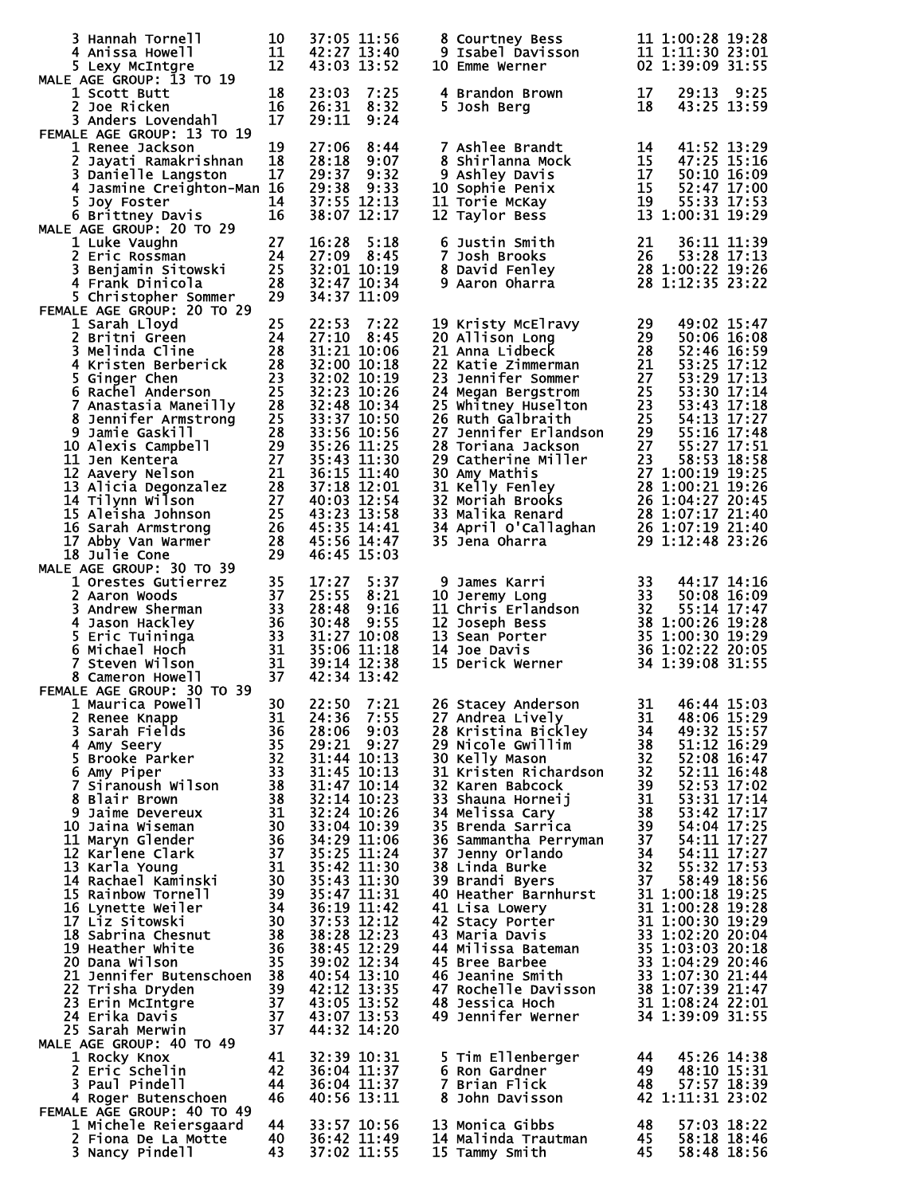| 3 Hannah Tornell<br>4 Anissa Howell<br>5 Lexy McIntgre                                                                                                                                                                                                                                                                                                                                                                                                            | 10<br>$\begin{array}{c} 10 \\ 11 \\ 12 \end{array}$<br>12                                                                              |                                                                                                          | 37:05 11:56<br>42:27 13:40<br>43:03 13:52                                                                                                                                                                                                   | 8 Courtney Bess<br>9 Isabel Davisson<br>10 Emme Werner                                                                                                                                                                                                                                                                                                                                                                                                                                                                                       |                                                                                         | 11 1:00:28 19:28<br>11 1:00:28 19:28<br>11 1:11:30 23:01<br>23 1:20:00 21:55<br>02 1:39:09 31:55                                                                                                                                                                                                                                                                                                     |      |
|-------------------------------------------------------------------------------------------------------------------------------------------------------------------------------------------------------------------------------------------------------------------------------------------------------------------------------------------------------------------------------------------------------------------------------------------------------------------|----------------------------------------------------------------------------------------------------------------------------------------|----------------------------------------------------------------------------------------------------------|---------------------------------------------------------------------------------------------------------------------------------------------------------------------------------------------------------------------------------------------|----------------------------------------------------------------------------------------------------------------------------------------------------------------------------------------------------------------------------------------------------------------------------------------------------------------------------------------------------------------------------------------------------------------------------------------------------------------------------------------------------------------------------------------------|-----------------------------------------------------------------------------------------|------------------------------------------------------------------------------------------------------------------------------------------------------------------------------------------------------------------------------------------------------------------------------------------------------------------------------------------------------------------------------------------------------|------|
| MALE AGE GROUP: 13 TO 19<br>1 Scott Butt<br>2 Joe Ricken<br>3 Anders Lovendahl                                                                                                                                                                                                                                                                                                                                                                                    | 18<br>16<br>17                                                                                                                         | 23:03<br>26:31<br>29:11                                                                                  | 7:25<br>8:32<br>9:24                                                                                                                                                                                                                        | 4 Brandon Brown<br>5 Josh Berg                                                                                                                                                                                                                                                                                                                                                                                                                                                                                                               | 17<br>18                                                                                | 29:13<br>43:25 13:59                                                                                                                                                                                                                                                                                                                                                                                 | 9:25 |
| FEMALE AGE GROUP: 13 TO 19<br>1 Renee Jackson<br>2 Jayati Ramakrishnan<br>3 Danielle Langston<br>4 Jasmine Creighton-Man 16<br>5 Joy Foster<br>6 Brittney Davis                                                                                                                                                                                                                                                                                                   | 19<br>18<br>17<br>14<br>16                                                                                                             | 27:06<br>28:18<br>29:37<br>29:38                                                                         | 8:44<br>9:07<br>9:32<br>9:33<br>37:55 12:13<br>38:07 12:17                                                                                                                                                                                  | <b>7 Ashlee Brandt</b><br>8 Shirlanna Mock<br>9 Ashley Davis<br>10 Sophie Penix<br>11 Torie McKay<br>12 Taylor Bess                                                                                                                                                                                                                                                                                                                                                                                                                          | 14<br>19                                                                                | 41:52 13:29<br>15 52:47 17:00<br>55:33 17:53<br>13 1:00:31 19:29                                                                                                                                                                                                                                                                                                                                     |      |
| MALE AGE GROUP: 20 TO 29<br>AGE GROUP: 20 TO 29<br>1 Luke Vaughn<br>2 Eric Rossman<br>3 Benjamin Sitowski<br>3 Benjamin Sitowski<br>28<br>1 Consul Dinicola<br>28<br>5 Christopher Sommer                                                                                                                                                                                                                                                                         | 29                                                                                                                                     | 16:28                                                                                                    | 5:18<br>27:09 8:45<br>32:01 10:19<br>32:47 10:34<br>34:37 11:09                                                                                                                                                                             | 6 Justin Smith<br>7 Josh Brooks<br>8 David Fenley<br>9 Aaron Oharra                                                                                                                                                                                                                                                                                                                                                                                                                                                                          | 21<br>26                                                                                | 36:11 11:39<br>53:28 17:13<br>$28$ 1:00:22 19:26<br>28 1:12:35 23:22                                                                                                                                                                                                                                                                                                                                 |      |
| FEMALE AGE GROUP: 20 TO 29<br>MALE AGE GROUP: 20 TO 29<br>1 Sarah Lloyd<br>2 Britni Green<br>3 Melinda Cline<br>4 Kristen Berberick<br>4 Kristen Berberick<br>6 Rachel Anderson<br>6 Rachel Anderson<br>7 Anastasia Maneilly<br>8 Jennifer Armstrong<br>9 Jamie Gaskill<br>10 Alex                                                                                                                                                                                |                                                                                                                                        | 22:53<br>27:10<br>32:00 10:18<br>33:56 10:56                                                             | 7:22<br>8:45<br>31:21 10:06<br>32:02 10:19<br>32:23 10:26<br>32:48 10:34<br>33:37 10:50<br>35:26 11:25<br>35:43 11:30                                                                                                                       | 19 Kristy McElravy<br>20 Allison Long<br>21 Anna Lidbeck<br>21 Anna Lidbeck<br>22 Katie Zimmerman<br>21 53:25 17:12<br>23 Jennifer Sommer<br>27 53:29 17:13<br>24 Megan Bergstrom<br>25 53:30 17:14<br>25 Whitney Huselton<br>26 Ruth Galbraith<br>26                                                                                                                                                                                                                                                                                        |                                                                                         |                                                                                                                                                                                                                                                                                                                                                                                                      |      |
| MALE AGE GROUP: 30 TO 39                                                                                                                                                                                                                                                                                                                                                                                                                                          |                                                                                                                                        |                                                                                                          | 36:15 11:40<br>37:18 12:01<br>40:03 12:54<br>43:23 13:58<br>45:35 14:41<br>45:56 14:47<br>46:45 15:03                                                                                                                                       | 24 Megan Bergstrom 25 53:30 17:14<br>25 Whitney Huselton 23 53:43 17:18<br>26 Ruth Galbraith 25 54:13 17:27<br>27 Jennifer Erlandson 29 55:16 17:48<br>28 Toriana Jackson 27 58:27 17:51<br>29 Catherine Miller 23 58:53 18:58<br>30 Amy M                                                                                                                                                                                                                                                                                                   |                                                                                         |                                                                                                                                                                                                                                                                                                                                                                                                      |      |
| 2 AGE GROUP: 30 10 39<br>1 Orestes Gutierrez<br>2 Aaron Woods<br>3 Andrew Sherman<br>3 3 Andrew Sherman<br>4 Jason Hackley<br>5 Eric Tuininga<br>6 Michael Hoch<br>7 Steven Wilson<br>8 Cameron Howell<br>8 Cameron Howell<br>8 Cameron Howell<br>8 Ca<br>FEMALE AGE GROUP: 30 TO 39                                                                                                                                                                              |                                                                                                                                        | 17:27<br>25:55<br>28:48 9:16<br>30:48<br>35:06 11:18<br>39:14 12:38<br>42:34 13:42                       | 5:37<br>8:21<br>9:55<br>31:27 10:08                                                                                                                                                                                                         | 9 James Karri 33 44:17 14:16<br>10 Jeremy Long 33 50:08 16:09<br>11 Chris Erlandson 32 55:14 17:47<br>12 Joseph Bess 38 1:00:26 19:28<br>13 Sean Porter 35 1:00:30 19:29<br>14 Joe Davis 36 1:02:22 20:05<br>15 Derick Werner 34 1:39:08 3                                                                                                                                                                                                                                                                                                   |                                                                                         |                                                                                                                                                                                                                                                                                                                                                                                                      |      |
| 1 Maurica Powell<br>2 Renee Knapp<br>3 Sarah Fields<br>4 Amy Seery<br>5 Brooke Parker<br>6 Amy Piper<br>7 Siranoush Wilson<br>8 Blair Brown<br>9 Jaime Devereux<br>10 Jaina Wiseman<br>11 Maryn Glender<br>12 Karlene Clark<br>13 Karla Young<br>14 Rachael Kaminski<br>15 Rainbow Tornell<br>16 Lynette Weiler<br>17 Liz Sitowski<br>18 Sabrina Chesnut<br>19 Heather White<br>20 Dana Wilson<br>21 Jennifer Butenschoen<br>22 Trisha Dryden<br>23 Erin McIntgre | 30<br>31<br>36<br>35<br>32<br>33<br>38<br>38<br>31<br>30<br>36<br>37<br>31<br>30<br>39<br>34<br>30<br>38<br>36<br>35<br>38<br>39<br>37 | 24:36<br>28:06<br>32:14 10:23<br>35:47 11:31<br>37:53 12:12<br>38:28 12:23<br>42:12 13:35<br>43:05 13:52 | 22:50 7:21<br>7:55<br>9:03<br>29:21 9:27<br>31:44 10:13<br>31:45 10:13<br>31:47 10:14<br>32:24 10:26<br>33:04 10:39<br>34:29 11:06<br>35:25 11:24<br>35:42 11:30<br>35:43 11:30<br>36:19 11:42<br>38:45 12:29<br>39:02 12:34<br>40:54 13:10 | 26 Stacey Anderson<br>27 Andrea Lively<br>28 Kristina Bickley<br>29 Nicole Gwillim<br>30 Kelly Mason<br>31 Kristen Richardson<br>32 Karen Babcock<br>33 Shauna Horneij<br>34 Melissa Cary<br>35 Brenda Sarrica<br>36 Sammantha Perryman<br>37 Jenny Orlando<br>38 Linda Burke<br>39 Brandi Byers<br>40 Heather Barnhurst<br>41 Lisa Lowery<br>42 Stacy Porter<br>43 Maria Davis<br>44 Milissa Bateman<br>45 Bree Barbee<br>46 Jeanine Smith<br>46 Jeanine Smith 33 1:07:30 21:44<br>47 Rochelle Davisson 38 1:07:39 21:47<br>48 Jessica Hoch | 31<br>34<br>38<br>32 <sub>2</sub><br>32<br>39<br>31<br>38<br>39<br>37<br>34<br>32<br>37 | 31 46:44 15:03<br>48:06 15:29<br>49:32 15:57<br>$51:12$ $\bar{16}:29$<br>52:08 16:47<br>52:11 16:48<br>52:53 17:02<br>53:31 17:14<br>53:42 17:17<br>54:04 17:25<br>54:11 17:27<br>54:11 17:27<br>55:32 17:53<br>58:49 18:56<br>31 1:00:18 19:25<br>31 1:00:28 19:28<br>31 1:00:30 19:29<br>33 1:02:20 20:04<br><b>35 1:03:03 20:18<br/>33 1:04:29 20:46<br/>33 1:07:30 21:44</b><br>31 1:08:24 22:01 |      |
| 24 Erika Davis<br>25 Sarah Merwin<br>MALE AGE GROUP: 40 TO 49<br>1 Rocky Knox<br>2 Eric Schelin<br>3 Paul Pindell<br>4 Roger Butenschoen                                                                                                                                                                                                                                                                                                                          | 37<br>37<br>41<br>42<br>44<br>46                                                                                                       |                                                                                                          | 43:07 13:53<br>44:32 14:20<br>32:39 10:31<br>36:04 11:37<br>36:04 11:37<br>40:56 13:11                                                                                                                                                      | 49 Jennifer Werner<br>5 Tim Ellenberger<br>6 Ron Gardner<br>7 Brian Flick<br>8 John Davisson                                                                                                                                                                                                                                                                                                                                                                                                                                                 | 44<br>49<br>48                                                                          | 34 1:39:09 31:55<br>45:26 14:38<br>48:10 15:31<br>57:57 18:39<br>42 1:11:31 23:02                                                                                                                                                                                                                                                                                                                    |      |
| FEMALE AGE GROUP: 40 TO 49<br>1 Michele Reiersgaard<br>2 Fiona De La Motte<br>3 Nancy Pindell                                                                                                                                                                                                                                                                                                                                                                     | 44<br>40<br>43                                                                                                                         |                                                                                                          | 33:57 10:56<br>36:42 11:49<br>37:02 11:55                                                                                                                                                                                                   | 13 Monica Gibbs<br>14 Malinda Trautman<br>15 Tammy Smith                                                                                                                                                                                                                                                                                                                                                                                                                                                                                     | 48<br>45<br>45                                                                          | 57:03 18:22<br>58:18 18:46<br>58:48 18:56                                                                                                                                                                                                                                                                                                                                                            |      |